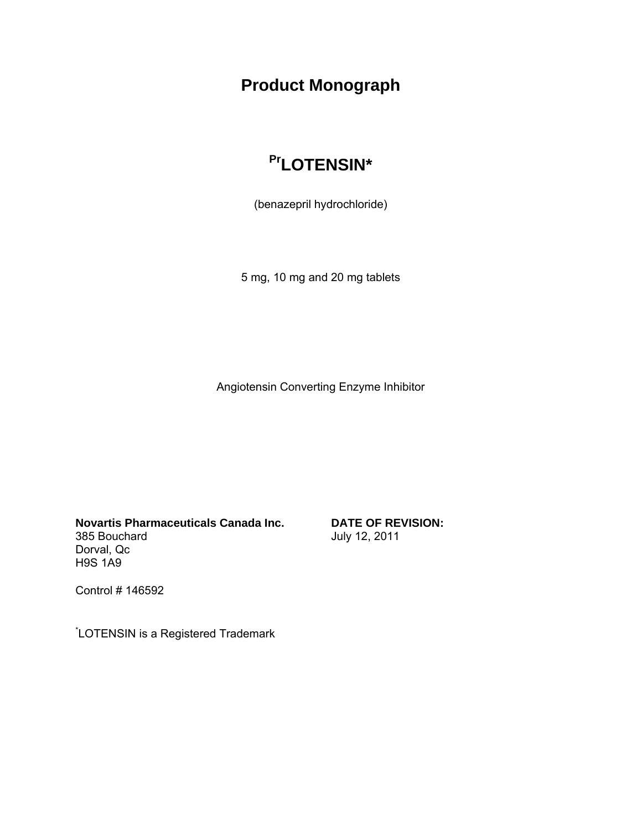# **Product Monograph**

# Pr<sub>LOTENSIN\*</sub>

(benazepril hydrochloride)

5 mg, 10 mg and 20 mg tablets

Angiotensin Converting Enzyme Inhibitor

**Novartis Pharmaceuticals Canada Inc.** 385 Bouchard Dorval, Qc H9S 1A9

**DATE OF REVISION:** July 12, 2011

Control # 146592

\* LOTENSIN is a Registered Trademark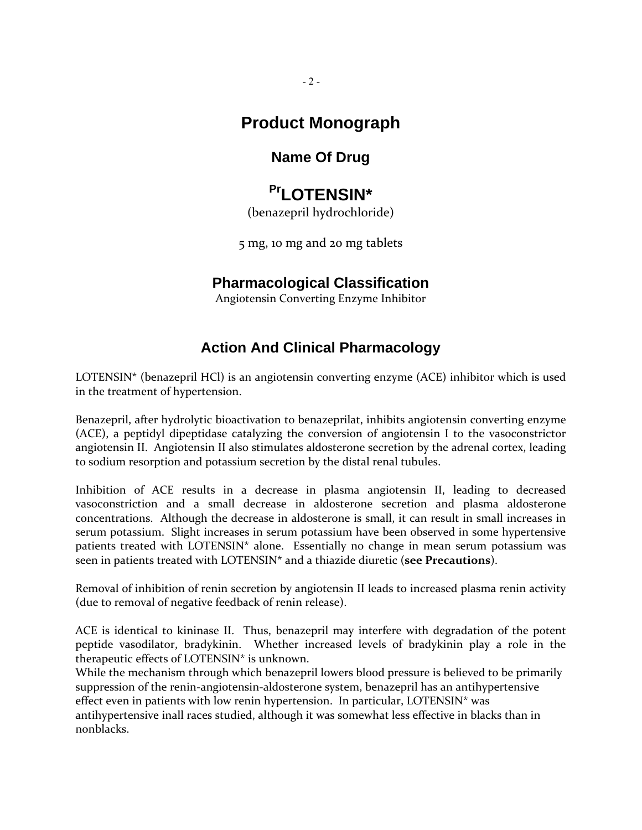## **Product Monograph**

## **Name Of Drug**

# Pr<sub>LOTENSIN\*</sub>

(benazepril hydrochloride)

5 mg, 10 mg and 20 mg tablets

## **Pharmacological Classification**

Angiotensin Converting Enzyme Inhibitor

## **Action And Clinical Pharmacology**

LOTENSIN\* (benazepril HCl) is an angiotensin converting enzyme (ACE) inhibitor which is used in the treatment of hypertension.

Benazepril, after hydrolytic bioactivation to benazeprilat, inhibits angiotensin converting enzyme (ACE), a peptidyl dipeptidase catalyzing the conversion of angiotensin I to the vasoconstrictor angiotensin II. Angiotensin II also stimulates aldosterone secretion by the adrenal cortex, leading to sodium resorption and potassium secretion by the distal renal tubules.

Inhibition of ACE results in a decrease in plasma angiotensin II, leading to decreased vasoconstriction and a small decrease in aldosterone secretion and plasma aldosterone concentrations. Although the decrease in aldosterone is small, it can result in small increases in serum potassium. Slight increases in serum potassium have been observed in some hypertensive patients treated with LOTENSIN\* alone. Essentially no change in mean serum potassium was seen in patients treated with LOTENSIN\* and a thiazide diuretic (**see Precautions**).

Removal of inhibition of renin secretion by angiotensin II leads to increased plasma renin activity (due to removal of negative feedback of renin release).

ACE is identical to kininase II. Thus, benazepril may interfere with degradation of the potent peptide vasodilator, bradykinin. Whether increased levels of bradykinin play a role in the therapeutic effects of LOTENSIN\* is unknown.

While the mechanism through which benazepril lowers blood pressure is believed to be primarily suppression of the renin‐angiotensin‐aldosterone system, benazepril has an antihypertensive effect even in patients with low renin hypertension. In particular, LOTENSIN\* was antihypertensive inall races studied, although it was somewhat less effective in blacks than in nonblacks.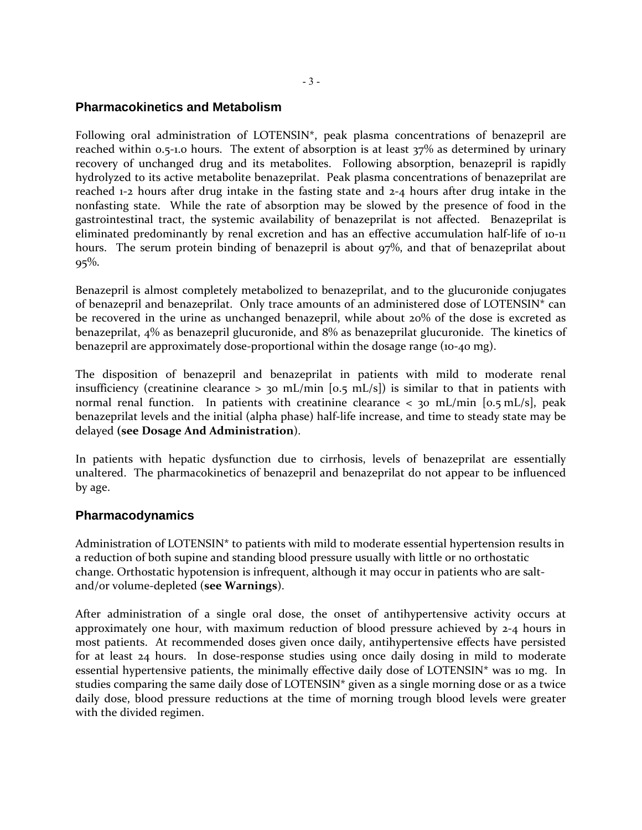### **Pharmacokinetics and Metabolism**

Following oral administration of LOTENSIN\*, peak plasma concentrations of benazepril are reached within 0.5-1.0 hours. The extent of absorption is at least 37% as determined by urinary recovery of unchanged drug and its metabolites. Following absorption, benazepril is rapidly hydrolyzed to its active metabolite benazeprilat. Peak plasma concentrations of benazeprilat are reached 1‐2 hours after drug intake in the fasting state and 2‐4 hours after drug intake in the nonfasting state. While the rate of absorption may be slowed by the presence of food in the gastrointestinal tract, the systemic availability of benazeprilat is not affected. Benazeprilat is eliminated predominantly by renal excretion and has an effective accumulation half‐life of 10‐11 hours. The serum protein binding of benazepril is about 97%, and that of benazeprilat about  $95\%$ .

Benazepril is almost completely metabolized to benazeprilat, and to the glucuronide conjugates of benazepril and benazeprilat. Only trace amounts of an administered dose of LOTENSIN\* can be recovered in the urine as unchanged benazepril, while about 20% of the dose is excreted as benazeprilat, 4% as benazepril glucuronide, and 8% as benazeprilat glucuronide. The kinetics of benazepril are approximately dose‐proportional within the dosage range (10‐40 mg).

The disposition of benazepril and benazeprilat in patients with mild to moderate renal insufficiency (creatinine clearance  $> 30$  mL/min [0.5 mL/s]) is similar to that in patients with normal renal function. In patients with creatinine clearance  $\langle$  30 mL/min [0.5 mL/s], peak benazeprilat levels and the initial (alpha phase) half‐life increase, and time to steady state may be delayed **(see Dosage And Administration**).

In patients with hepatic dysfunction due to cirrhosis, levels of benazeprilat are essentially unaltered. The pharmacokinetics of benazepril and benazeprilat do not appear to be influenced by age.

### **Pharmacodynamics**

Administration of LOTENSIN\* to patients with mild to moderate essential hypertension results in a reduction of both supine and standing blood pressure usually with little or no orthostatic change. Orthostatic hypotension is infrequent, although it may occur in patients who are salt‐ and/or volume‐depleted (**see Warnings**).

After administration of a single oral dose, the onset of antihypertensive activity occurs at approximately one hour, with maximum reduction of blood pressure achieved by 2‐4 hours in most patients. At recommended doses given once daily, antihypertensive effects have persisted for at least 24 hours. In dose-response studies using once daily dosing in mild to moderate essential hypertensive patients, the minimally effective daily dose of LOTENSIN\* was 10 mg. In studies comparing the same daily dose of LOTENSIN\* given as a single morning dose or as a twice daily dose, blood pressure reductions at the time of morning trough blood levels were greater with the divided regimen.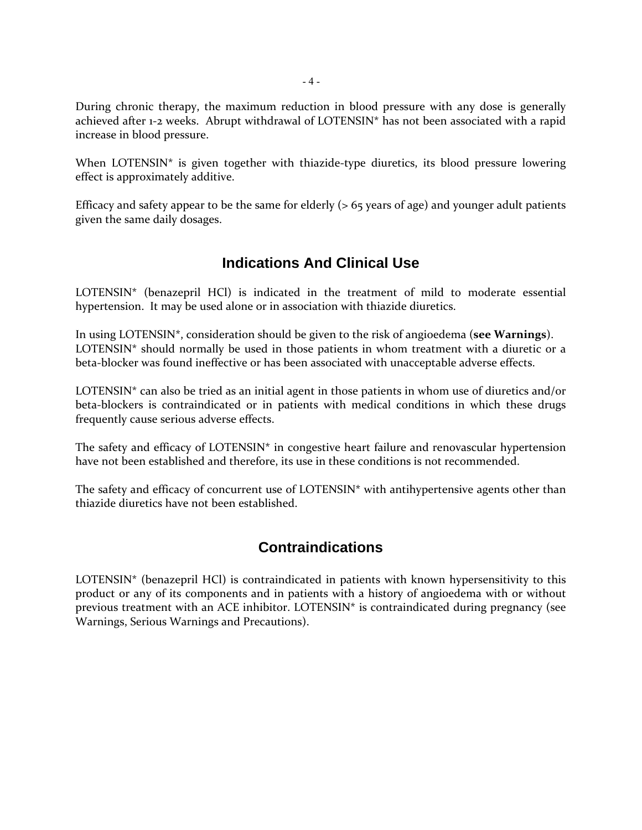During chronic therapy, the maximum reduction in blood pressure with any dose is generally achieved after 1-2 weeks. Abrupt withdrawal of LOTENSIN\* has not been associated with a rapid increase in blood pressure.

When LOTENSIN $*$  is given together with thiazide-type diuretics, its blood pressure lowering effect is approximately additive.

Efficacy and safety appear to be the same for elderly (> 65 years of age) and younger adult patients given the same daily dosages.

## **Indications And Clinical Use**

LOTENSIN\* (benazepril HCl) is indicated in the treatment of mild to moderate essential hypertension. It may be used alone or in association with thiazide diuretics.

In using LOTENSIN\*, consideration should be given to the risk of angioedema (**see Warnings**). LOTENSIN\* should normally be used in those patients in whom treatment with a diuretic or a beta-blocker was found ineffective or has been associated with unacceptable adverse effects.

LOTENSIN\* can also be tried as an initial agent in those patients in whom use of diuretics and/or beta-blockers is contraindicated or in patients with medical conditions in which these drugs frequently cause serious adverse effects.

The safety and efficacy of LOTENSIN\* in congestive heart failure and renovascular hypertension have not been established and therefore, its use in these conditions is not recommended.

The safety and efficacy of concurrent use of LOTENSIN\* with antihypertensive agents other than thiazide diuretics have not been established.

## **Contraindications**

LOTENSIN\* (benazepril HCl) is contraindicated in patients with known hypersensitivity to this product or any of its components and in patients with a history of angioedema with or without previous treatment with an ACE inhibitor. LOTENSIN\* is contraindicated during pregnancy (see Warnings, Serious Warnings and Precautions).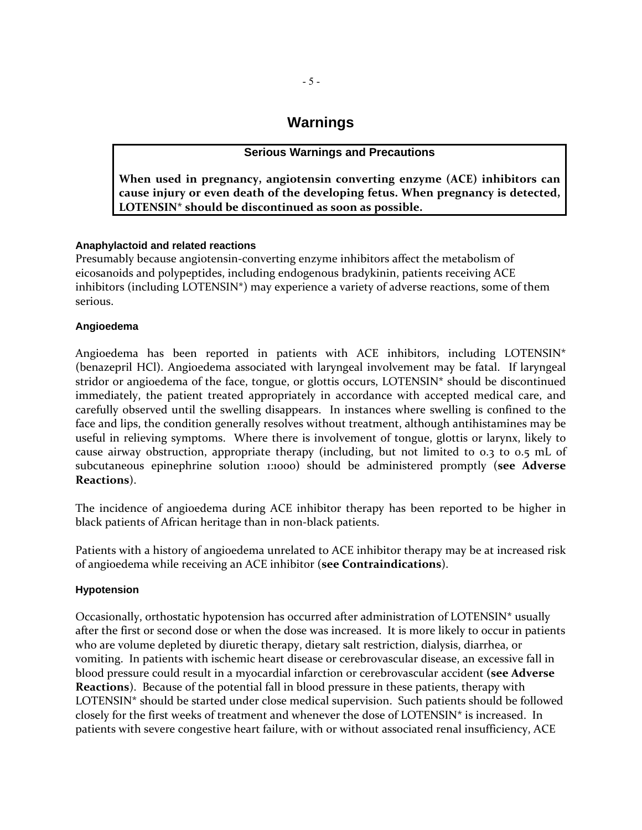## **Warnings**

### **Serious Warnings and Precautions**

**When used in pregnancy, angiotensin converting enzyme (ACE) inhibitors can cause injury or even death of the developing fetus. When pregnancy is detected, LOTENSIN\* should be discontinued as soon as possible.** 

### **Anaphylactoid and related reactions**

Presumably because angiotensin‐converting enzyme inhibitors affect the metabolism of eicosanoids and polypeptides, including endogenous bradykinin, patients receiving ACE inhibitors (including LOTENSIN\*) may experience a variety of adverse reactions, some of them serious.

### **Angioedema**

Angioedema has been reported in patients with ACE inhibitors, including LOTENSIN\* (benazepril HCl). Angioedema associated with laryngeal involvement may be fatal. If laryngeal stridor or angioedema of the face, tongue, or glottis occurs, LOTENSIN\* should be discontinued immediately, the patient treated appropriately in accordance with accepted medical care, and carefully observed until the swelling disappears. In instances where swelling is confined to the face and lips, the condition generally resolves without treatment, although antihistamines may be useful in relieving symptoms. Where there is involvement of tongue, glottis or larynx, likely to cause airway obstruction, appropriate therapy (including, but not limited to 0.3 to 0.5 mL of subcutaneous epinephrine solution 1:1000) should be administered promptly (**see Adverse Reactions**).

The incidence of angioedema during ACE inhibitor therapy has been reported to be higher in black patients of African heritage than in non-black patients.

Patients with a history of angioedema unrelated to ACE inhibitor therapy may be at increased risk of angioedema while receiving an ACE inhibitor (**see Contraindications**).

### **Hypotension**

Occasionally, orthostatic hypotension has occurred after administration of LOTENSIN\* usually after the first or second dose or when the dose was increased. It is more likely to occur in patients who are volume depleted by diuretic therapy, dietary salt restriction, dialysis, diarrhea, or vomiting. In patients with ischemic heart disease or cerebrovascular disease, an excessive fall in blood pressure could result in a myocardial infarction or cerebrovascular accident **(see Adverse Reactions**). Because of the potential fall in blood pressure in these patients, therapy with LOTENSIN\* should be started under close medical supervision. Such patients should be followed closely for the first weeks of treatment and whenever the dose of LOTENSIN\* is increased. In patients with severe congestive heart failure, with or without associated renal insufficiency, ACE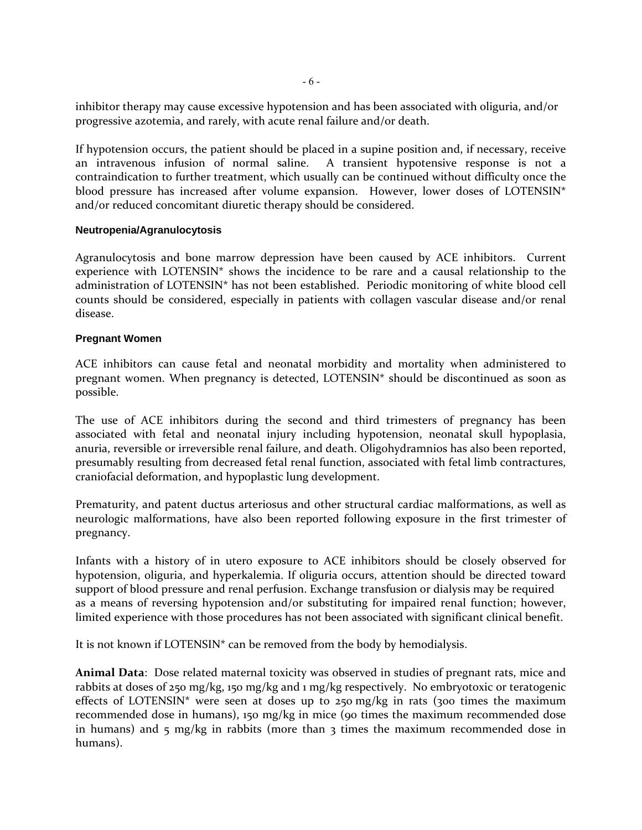inhibitor therapy may cause excessive hypotension and has been associated with oliguria, and/or progressive azotemia, and rarely, with acute renal failure and/or death.

If hypotension occurs, the patient should be placed in a supine position and, if necessary, receive an intravenous infusion of normal saline. A transient hypotensive response is not a contraindication to further treatment, which usually can be continued without difficulty once the blood pressure has increased after volume expansion. However, lower doses of LOTENSIN\* and/or reduced concomitant diuretic therapy should be considered.

### **Neutropenia/Agranulocytosis**

Agranulocytosis and bone marrow depression have been caused by ACE inhibitors. Current experience with LOTENSIN\* shows the incidence to be rare and a causal relationship to the administration of LOTENSIN\* has not been established. Periodic monitoring of white blood cell counts should be considered, especially in patients with collagen vascular disease and/or renal disease.

### **Pregnant Women**

ACE inhibitors can cause fetal and neonatal morbidity and mortality when administered to pregnant women. When pregnancy is detected, LOTENSIN\* should be discontinued as soon as possible.

The use of ACE inhibitors during the second and third trimesters of pregnancy has been associated with fetal and neonatal injury including hypotension, neonatal skull hypoplasia, anuria, reversible or irreversible renal failure, and death. Oligohydramnios has also been reported, presumably resulting from decreased fetal renal function, associated with fetal limb contractures, craniofacial deformation, and hypoplastic lung development.

Prematurity, and patent ductus arteriosus and other structural cardiac malformations, as well as neurologic malformations, have also been reported following exposure in the first trimester of pregnancy.

Infants with a history of in utero exposure to ACE inhibitors should be closely observed for hypotension, oliguria, and hyperkalemia. If oliguria occurs, attention should be directed toward support of blood pressure and renal perfusion. Exchange transfusion or dialysis may be required as a means of reversing hypotension and/or substituting for impaired renal function; however, limited experience with those procedures has not been associated with significant clinical benefit.

It is not known if LOTENSIN\* can be removed from the body by hemodialysis.

**Animal Data**: Dose related maternal toxicity was observed in studies of pregnant rats, mice and rabbits at doses of 250 mg/kg, 150 mg/kg and 1 mg/kg respectively. No embryotoxic or teratogenic effects of LOTENSIN<sup>\*</sup> were seen at doses up to 250 mg/kg in rats (300 times the maximum recommended dose in humans), 150 mg/kg in mice (90 times the maximum recommended dose in humans) and 5 mg/kg in rabbits (more than 3 times the maximum recommended dose in humans).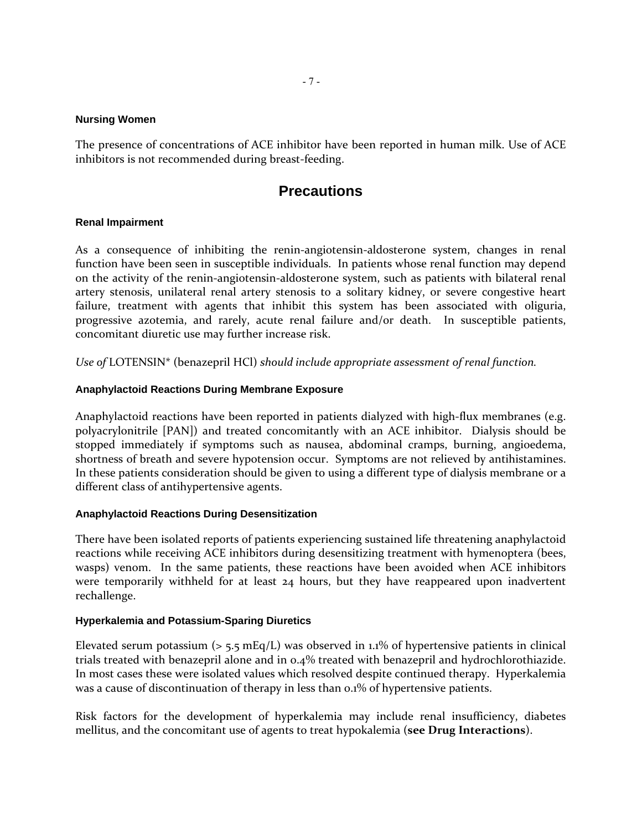#### **Nursing Women**

The presence of concentrations of ACE inhibitor have been reported in human milk. Use of ACE inhibitors is not recommended during breast-feeding.

## **Precautions**

### **Renal Impairment**

As a consequence of inhibiting the renin‐angiotensin‐aldosterone system, changes in renal function have been seen in susceptible individuals. In patients whose renal function may depend on the activity of the renin‐angiotensin‐aldosterone system, such as patients with bilateral renal artery stenosis, unilateral renal artery stenosis to a solitary kidney, or severe congestive heart failure, treatment with agents that inhibit this system has been associated with oliguria, progressive azotemia, and rarely, acute renal failure and/or death. In susceptible patients, concomitant diuretic use may further increase risk.

*Use of* LOTENSIN\* (benazepril HCl) *should include appropriate assessment of renal function.*

### **Anaphylactoid Reactions During Membrane Exposure**

Anaphylactoid reactions have been reported in patients dialyzed with high-flux membranes (e.g. polyacrylonitrile [PAN]) and treated concomitantly with an ACE inhibitor. Dialysis should be stopped immediately if symptoms such as nausea, abdominal cramps, burning, angioedema, shortness of breath and severe hypotension occur. Symptoms are not relieved by antihistamines. In these patients consideration should be given to using a different type of dialysis membrane or a different class of antihypertensive agents.

### **Anaphylactoid Reactions During Desensitization**

There have been isolated reports of patients experiencing sustained life threatening anaphylactoid reactions while receiving ACE inhibitors during desensitizing treatment with hymenoptera (bees, wasps) venom. In the same patients, these reactions have been avoided when ACE inhibitors were temporarily withheld for at least 24 hours, but they have reappeared upon inadvertent rechallenge.

### **Hyperkalemia and Potassium-Sparing Diuretics**

Elevated serum potassium ( $> 5.5$  mEq/L) was observed in 1.1% of hypertensive patients in clinical trials treated with benazepril alone and in 0.4% treated with benazepril and hydrochlorothiazide. In most cases these were isolated values which resolved despite continued therapy. Hyperkalemia was a cause of discontinuation of therapy in less than 0.1% of hypertensive patients.

Risk factors for the development of hyperkalemia may include renal insufficiency, diabetes mellitus, and the concomitant use of agents to treat hypokalemia (**see Drug Interactions**).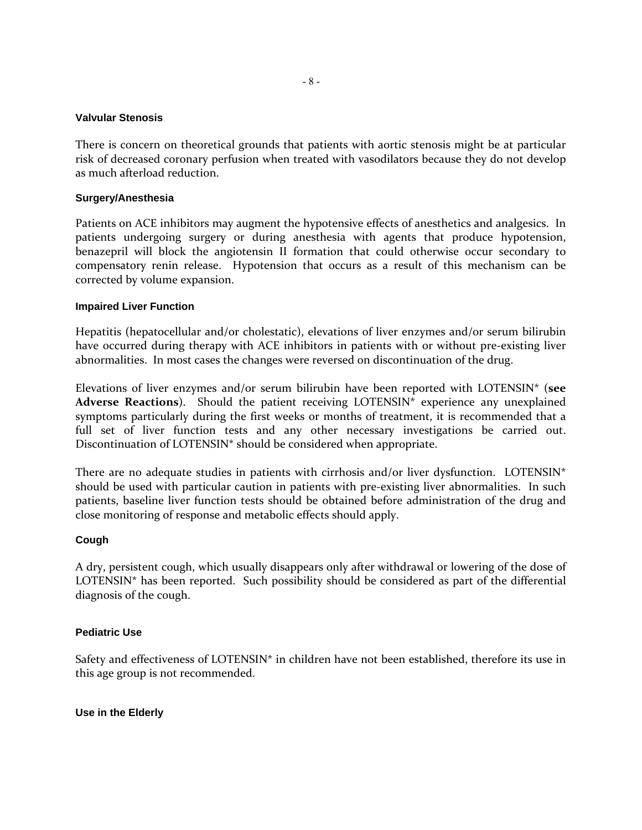### **Valvular Stenosis**

There is concern on theoretical grounds that patients with aortic stenosis might be at particular risk of decreased coronary perfusion when treated with vasodilators because they do not develop as much afterload reduction.

### **Surgery/Anesthesia**

Patients on ACE inhibitors may augment the hypotensive effects of anesthetics and analgesics. In patients undergoing surgery or during anesthesia with agents that produce hypotension, benazepril will block the angiotensin II formation that could otherwise occur secondary to compensatory renin release. Hypotension that occurs as a result of this mechanism can be corrected by volume expansion.

### **Impaired Liver Function**

Hepatitis (hepatocellular and/or cholestatic), elevations of liver enzymes and/or serum bilirubin have occurred during therapy with ACE inhibitors in patients with or without pre-existing liver abnormalities. In most cases the changes were reversed on discontinuation of the drug.

Elevations of liver enzymes and/or serum bilirubin have been reported with LOTENSIN\* (**see Adverse Reactions**). Should the patient receiving LOTENSIN\* experience any unexplained symptoms particularly during the first weeks or months of treatment, it is recommended that a full set of liver function tests and any other necessary investigations be carried out. Discontinuation of LOTENSIN\* should be considered when appropriate.

There are no adequate studies in patients with cirrhosis and/or liver dysfunction. LOTENSIN<sup>\*</sup> should be used with particular caution in patients with pre‐existing liver abnormalities. In such patients, baseline liver function tests should be obtained before administration of the drug and close monitoring of response and metabolic effects should apply.

### **Cough**

A dry, persistent cough, which usually disappears only after withdrawal or lowering of the dose of LOTENSIN\* has been reported. Such possibility should be considered as part of the differential diagnosis of the cough.

### **Pediatric Use**

Safety and effectiveness of LOTENSIN\* in children have not been established, therefore its use in this age group is not recommended.

**Use in the Elderly**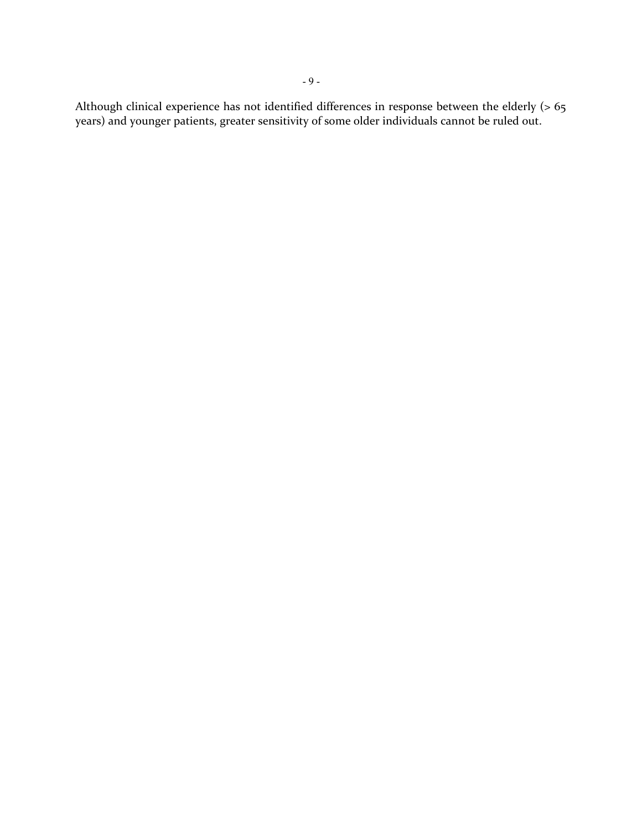Although clinical experience has not identified differences in response between the elderly (> 65 years) and younger patients, greater sensitivity of some older individuals cannot be ruled out.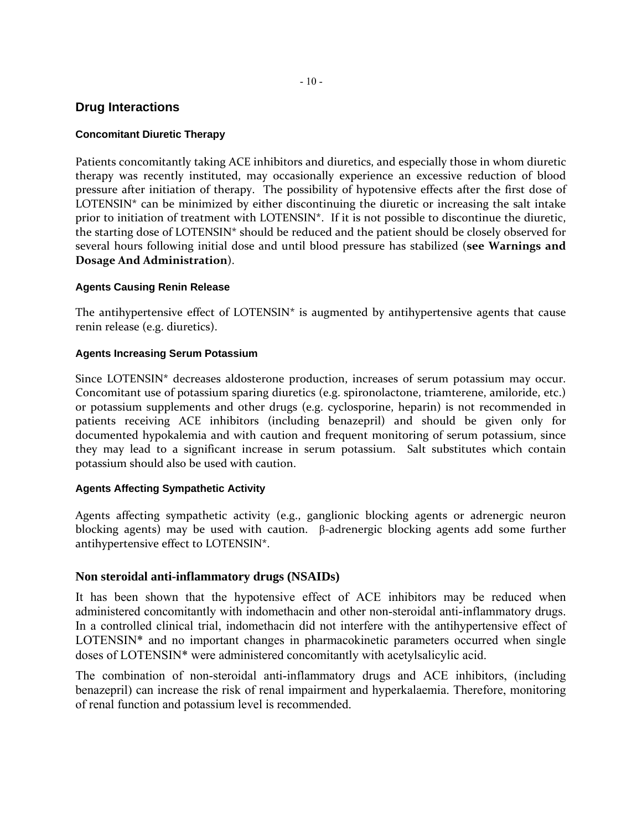## **Drug Interactions**

## **Concomitant Diuretic Therapy**

Patients concomitantly taking ACE inhibitors and diuretics, and especially those in whom diuretic therapy was recently instituted, may occasionally experience an excessive reduction of blood pressure after initiation of therapy. The possibility of hypotensive effects after the first dose of LOTENSIN $*$  can be minimized by either discontinuing the diuretic or increasing the salt intake prior to initiation of treatment with LOTENSIN\*. If it is not possible to discontinue the diuretic, the starting dose of LOTENSIN\* should be reduced and the patient should be closely observed for several hours following initial dose and until blood pressure has stabilized (**see Warnings and Dosage And Administration**).

## **Agents Causing Renin Release**

The antihypertensive effect of  $LOTENSIN*$  is augmented by antihypertensive agents that cause renin release (e.g. diuretics).

## **Agents Increasing Serum Potassium**

Since LOTENSIN\* decreases aldosterone production, increases of serum potassium may occur. Concomitant use of potassium sparing diuretics (e.g. spironolactone, triamterene, amiloride, etc.) or potassium supplements and other drugs (e.g. cyclosporine, heparin) is not recommended in patients receiving ACE inhibitors (including benazepril) and should be given only for documented hypokalemia and with caution and frequent monitoring of serum potassium, since they may lead to a significant increase in serum potassium. Salt substitutes which contain potassium should also be used with caution.

## **Agents Affecting Sympathetic Activity**

Agents affecting sympathetic activity (e.g., ganglionic blocking agents or adrenergic neuron blocking agents) may be used with caution. β-adrenergic blocking agents add some further antihypertensive effect to LOTENSIN\*.

## **Non steroidal anti-inflammatory drugs (NSAIDs)**

It has been shown that the hypotensive effect of ACE inhibitors may be reduced when administered concomitantly with indomethacin and other non-steroidal anti-inflammatory drugs. In a controlled clinical trial, indomethacin did not interfere with the antihypertensive effect of LOTENSIN\* and no important changes in pharmacokinetic parameters occurred when single doses of LOTENSIN\* were administered concomitantly with acetylsalicylic acid.

The combination of non-steroidal anti-inflammatory drugs and ACE inhibitors, (including benazepril) can increase the risk of renal impairment and hyperkalaemia. Therefore, monitoring of renal function and potassium level is recommended.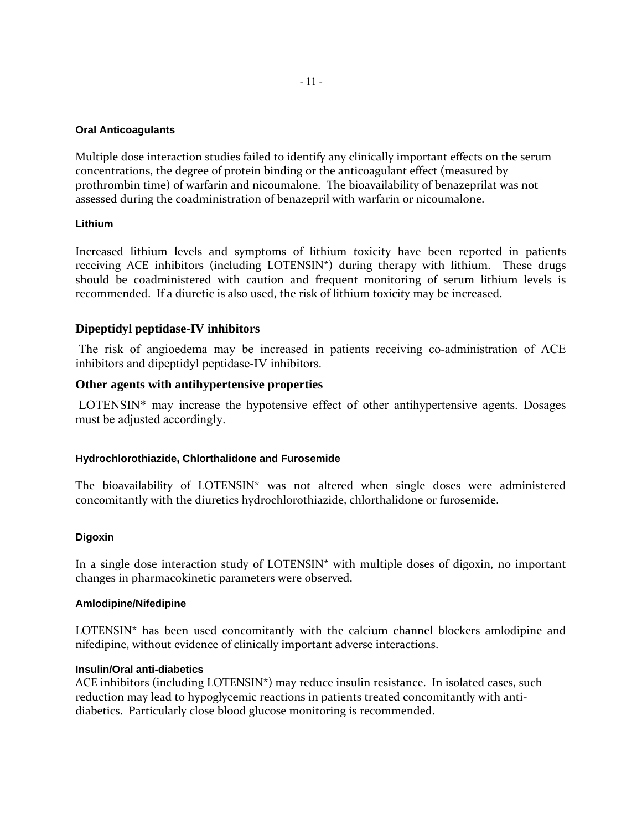### **Oral Anticoagulants**

Multiple dose interaction studies failed to identify any clinically important effects on the serum concentrations, the degree of protein binding or the anticoagulant effect (measured by prothrombin time) of warfarin and nicoumalone. The bioavailability of benazeprilat was not assessed during the coadministration of benazepril with warfarin or nicoumalone.

### **Lithium**

Increased lithium levels and symptoms of lithium toxicity have been reported in patients receiving ACE inhibitors (including LOTENSIN<sup>\*</sup>) during therapy with lithium. These drugs should be coadministered with caution and frequent monitoring of serum lithium levels is recommended. If a diuretic is also used, the risk of lithium toxicity may be increased.

### **Dipeptidyl peptidase-IV inhibitors**

 The risk of angioedema may be increased in patients receiving co-administration of ACE inhibitors and dipeptidyl peptidase-IV inhibitors.

### **Other agents with antihypertensive properties**

 LOTENSIN\* may increase the hypotensive effect of other antihypertensive agents. Dosages must be adjusted accordingly.

### **Hydrochlorothiazide, Chlorthalidone and Furosemide**

The bioavailability of LOTENSIN\* was not altered when single doses were administered concomitantly with the diuretics hydrochlorothiazide, chlorthalidone or furosemide.

### **Digoxin**

In a single dose interaction study of LOTENSIN\* with multiple doses of digoxin, no important changes in pharmacokinetic parameters were observed.

### **Amlodipine/Nifedipine**

LOTENSIN\* has been used concomitantly with the calcium channel blockers amlodipine and nifedipine, without evidence of clinically important adverse interactions.

### **Insulin/Oral anti-diabetics**

ACE inhibitors (including LOTENSIN\*) may reduce insulin resistance. In isolated cases, such reduction may lead to hypoglycemic reactions in patients treated concomitantly with antidiabetics. Particularly close blood glucose monitoring is recommended.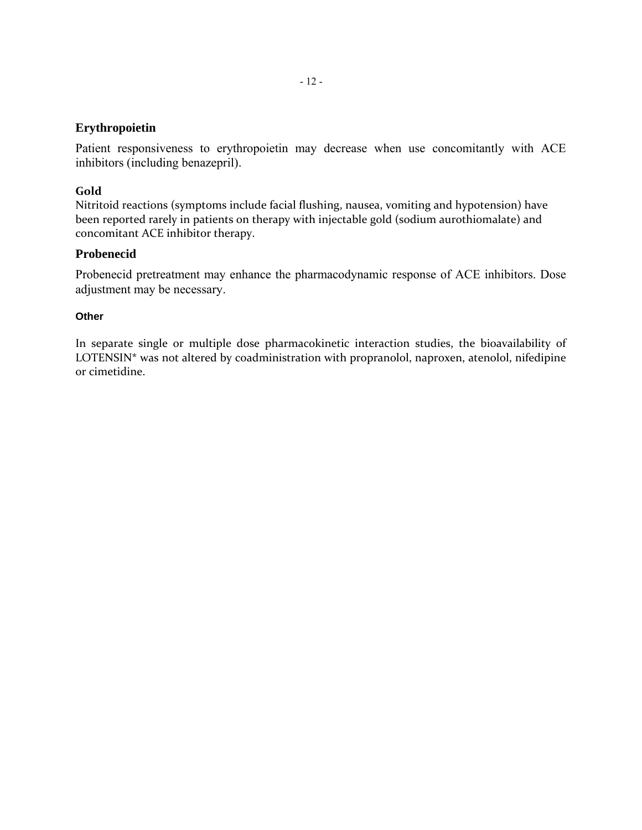### **Erythropoietin**

Patient responsiveness to erythropoietin may decrease when use concomitantly with ACE inhibitors (including benazepril).

### **Gold**

Nitritoid reactions (symptoms include facial flushing, nausea, vomiting and hypotension) have been reported rarely in patients on therapy with injectable gold (sodium aurothiomalate) and concomitant ACE inhibitor therapy.

### **Probenecid**

Probenecid pretreatment may enhance the pharmacodynamic response of ACE inhibitors. Dose adjustment may be necessary.

### **Other**

In separate single or multiple dose pharmacokinetic interaction studies, the bioavailability of LOTENSIN\* was not altered by coadministration with propranolol, naproxen, atenolol, nifedipine or cimetidine.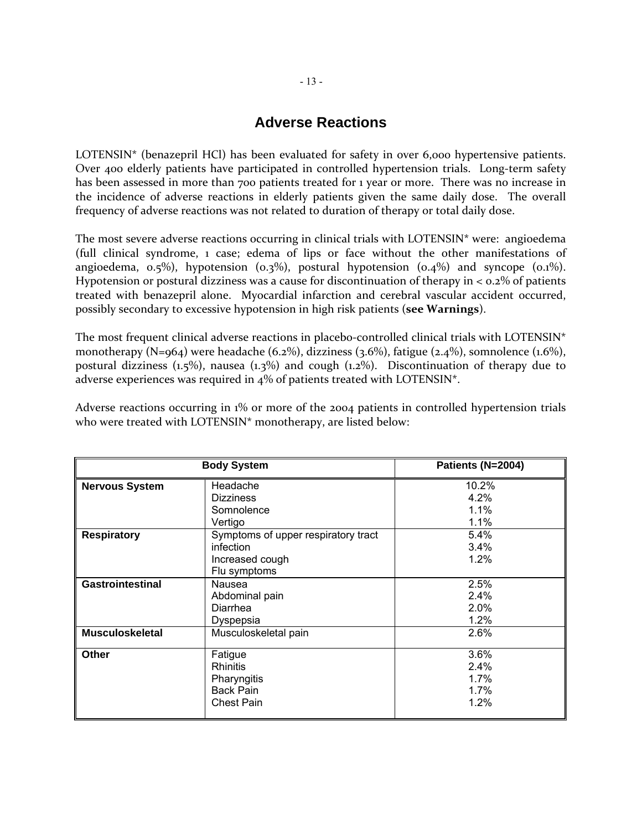## **Adverse Reactions**

LOTENSIN\* (benazepril HCl) has been evaluated for safety in over 6,000 hypertensive patients. Over 400 elderly patients have participated in controlled hypertension trials. Long-term safety has been assessed in more than 700 patients treated for 1 year or more. There was no increase in the incidence of adverse reactions in elderly patients given the same daily dose. The overall frequency of adverse reactions was not related to duration of therapy or total daily dose.

The most severe adverse reactions occurring in clinical trials with LOTENSIN\* were: angioedema (full clinical syndrome, 1 case; edema of lips or face without the other manifestations of angioedema,  $0.5\%$ ), hypotension ( $0.3\%$ ), postural hypotension ( $0.4\%$ ) and syncope ( $0.1\%$ ). Hypotension or postural dizziness was a cause for discontinuation of therapy in  $<$  0.2% of patients treated with benazepril alone. Myocardial infarction and cerebral vascular accident occurred, possibly secondary to excessive hypotension in high risk patients (**see Warnings**).

The most frequent clinical adverse reactions in placebo-controlled clinical trials with LOTENSIN<sup>\*</sup> monotherapy (N=964) were headache (6.2%), dizziness (3.6%), fatigue (2.4%), somnolence (1.6%), postural dizziness (1.5%), nausea (1.3%) and cough (1.2%). Discontinuation of therapy due to adverse experiences was required in 4% of patients treated with LOTENSIN\*.

Adverse reactions occurring in 1% or more of the 2004 patients in controlled hypertension trials who were treated with LOTENSIN\* monotherapy, are listed below:

| <b>Body System</b>      |                                     | Patients (N=2004) |  |  |
|-------------------------|-------------------------------------|-------------------|--|--|
| <b>Nervous System</b>   | Headache<br><b>Dizziness</b>        | 10.2%<br>4.2%     |  |  |
|                         | Somnolence                          | 1.1%              |  |  |
|                         | Vertigo                             | 1.1%              |  |  |
| <b>Respiratory</b>      | Symptoms of upper respiratory tract | 5.4%              |  |  |
|                         | infection                           | 3.4%              |  |  |
|                         | Increased cough                     | 1.2%              |  |  |
|                         | Flu symptoms                        |                   |  |  |
| <b>Gastrointestinal</b> | Nausea                              | 2.5%              |  |  |
|                         | Abdominal pain                      | 2.4%              |  |  |
|                         | Diarrhea                            | 2.0%              |  |  |
|                         | Dyspepsia                           | 1.2%              |  |  |
| <b>Musculoskeletal</b>  | Musculoskeletal pain                | 2.6%              |  |  |
| <b>Other</b>            | Fatigue                             | 3.6%              |  |  |
|                         | <b>Rhinitis</b>                     | 2.4%              |  |  |
|                         | Pharyngitis                         | 1.7%              |  |  |
|                         | <b>Back Pain</b>                    | 1.7%              |  |  |
|                         | <b>Chest Pain</b>                   | 1.2%              |  |  |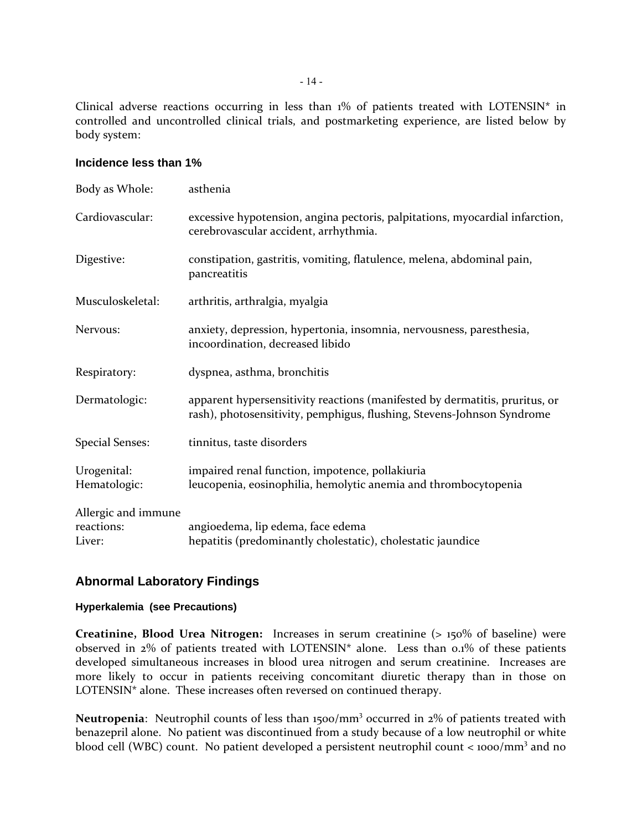Clinical adverse reactions occurring in less than 1% of patients treated with LOTENSIN\* in controlled and uncontrolled clinical trials, and postmarketing experience, are listed below by body system:

### **Incidence less than 1%**

| Body as Whole:                              | asthenia                                                                                                                                              |
|---------------------------------------------|-------------------------------------------------------------------------------------------------------------------------------------------------------|
| Cardiovascular:                             | excessive hypotension, angina pectoris, palpitations, myocardial infarction,<br>cerebrovascular accident, arrhythmia.                                 |
| Digestive:                                  | constipation, gastritis, vomiting, flatulence, melena, abdominal pain,<br>pancreatitis                                                                |
| Musculoskeletal:                            | arthritis, arthralgia, myalgia                                                                                                                        |
| Nervous:                                    | anxiety, depression, hypertonia, insomnia, nervousness, paresthesia,<br>incoordination, decreased libido                                              |
| Respiratory:                                | dyspnea, asthma, bronchitis                                                                                                                           |
| Dermatologic:                               | apparent hypersensitivity reactions (manifested by dermatitis, pruritus, or<br>rash), photosensitivity, pemphigus, flushing, Stevens-Johnson Syndrome |
| <b>Special Senses:</b>                      | tinnitus, taste disorders                                                                                                                             |
| Urogenital:<br>Hematologic:                 | impaired renal function, impotence, pollakiuria<br>leucopenia, eosinophilia, hemolytic anemia and thrombocytopenia                                    |
| Allergic and immune<br>reactions:<br>Liver: | angioedema, lip edema, face edema<br>hepatitis (predominantly cholestatic), cholestatic jaundice                                                      |

### **Abnormal Laboratory Findings**

### **Hyperkalemia (see Precautions)**

**Creatinine, Blood Urea Nitrogen:** Increases in serum creatinine (> 150% of baseline) were observed in 2% of patients treated with LOTENSIN\* alone. Less than 0.1% of these patients developed simultaneous increases in blood urea nitrogen and serum creatinine. Increases are more likely to occur in patients receiving concomitant diuretic therapy than in those on LOTENSIN\* alone. These increases often reversed on continued therapy.

Neutropenia: Neutrophil counts of less than 1500/mm<sup>3</sup> occurred in 2% of patients treated with benazepril alone. No patient was discontinued from a study because of a low neutrophil or white blood cell (WBC) count. No patient developed a persistent neutrophil count  $\lt$  1000/mm<sup>3</sup> and no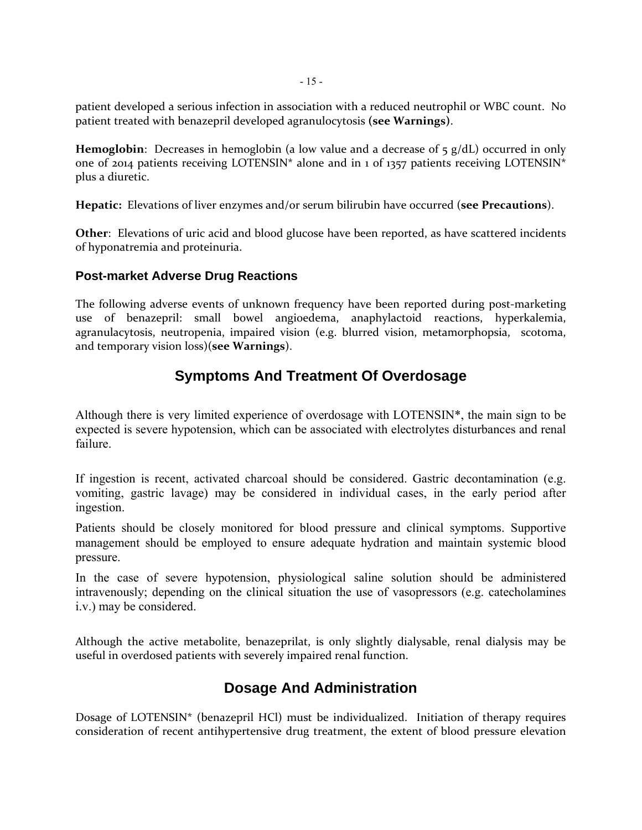patient developed a serious infection in association with a reduced neutrophil or WBC count. No patient treated with benazepril developed agranulocytosis **(see Warnings)**.

**Hemoglobin**: Decreases in hemoglobin (a low value and a decrease of  $\frac{1}{5}$  g/dL) occurred in only one of 2014 patients receiving LOTENSIN\* alone and in 1 of 1357 patients receiving LOTENSIN\* plus a diuretic.

**Hepatic:** Elevations of liver enzymes and/or serum bilirubin have occurred (**see Precautions**).

**Other**: Elevations of uric acid and blood glucose have been reported, as have scattered incidents of hyponatremia and proteinuria.

### **Post-market Adverse Drug Reactions**

The following adverse events of unknown frequency have been reported during post-marketing use of benazepril: small bowel angioedema, anaphylactoid reactions, hyperkalemia, agranulacytosis, neutropenia, impaired vision (e.g. blurred vision, metamorphopsia, scotoma, and temporary vision loss)(**see Warnings**).

## **Symptoms And Treatment Of Overdosage**

Although there is very limited experience of overdosage with LOTENSIN\*, the main sign to be expected is severe hypotension, which can be associated with electrolytes disturbances and renal failure.

If ingestion is recent, activated charcoal should be considered. Gastric decontamination (e.g. vomiting, gastric lavage) may be considered in individual cases, in the early period after ingestion.

Patients should be closely monitored for blood pressure and clinical symptoms. Supportive management should be employed to ensure adequate hydration and maintain systemic blood pressure.

In the case of severe hypotension, physiological saline solution should be administered intravenously; depending on the clinical situation the use of vasopressors (e.g. catecholamines i.v.) may be considered.

Although the active metabolite, benazeprilat, is only slightly dialysable, renal dialysis may be useful in overdosed patients with severely impaired renal function.

## **Dosage And Administration**

Dosage of LOTENSIN\* (benazepril HCl) must be individualized. Initiation of therapy requires consideration of recent antihypertensive drug treatment, the extent of blood pressure elevation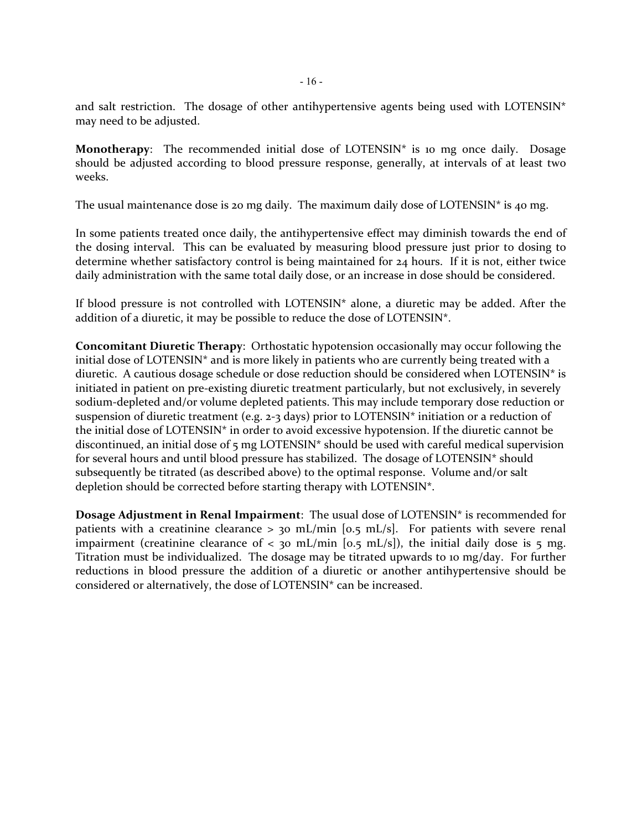and salt restriction. The dosage of other antihypertensive agents being used with LOTENSIN $*$ may need to be adjusted.

**Monotherapy**: The recommended initial dose of LOTENSIN<sup>\*</sup> is 10 mg once daily. Dosage should be adjusted according to blood pressure response, generally, at intervals of at least two weeks.

The usual maintenance dose is 20 mg daily. The maximum daily dose of LOTENSIN\* is 40 mg.

In some patients treated once daily, the antihypertensive effect may diminish towards the end of the dosing interval. This can be evaluated by measuring blood pressure just prior to dosing to determine whether satisfactory control is being maintained for 24 hours. If it is not, either twice daily administration with the same total daily dose, or an increase in dose should be considered.

If blood pressure is not controlled with LOTENSIN\* alone, a diuretic may be added. After the addition of a diuretic, it may be possible to reduce the dose of LOTENSIN\*.

**Concomitant Diuretic Therapy**: Orthostatic hypotension occasionally may occur following the initial dose of LOTENSIN\* and is more likely in patients who are currently being treated with a diuretic. A cautious dosage schedule or dose reduction should be considered when LOTENSIN\* is initiated in patient on pre‐existing diuretic treatment particularly, but not exclusively, in severely sodium-depleted and/or volume depleted patients. This may include temporary dose reduction or suspension of diuretic treatment (e.g. 2‐3 days) prior to LOTENSIN\* initiation or a reduction of the initial dose of LOTENSIN\* in order to avoid excessive hypotension. If the diuretic cannot be discontinued, an initial dose of 5 mg LOTENSIN\* should be used with careful medical supervision for several hours and until blood pressure has stabilized. The dosage of LOTENSIN\* should subsequently be titrated (as described above) to the optimal response. Volume and/or salt depletion should be corrected before starting therapy with LOTENSIN\*.

**Dosage Adjustment in Renal Impairment**: The usual dose of LOTENSIN\* is recommended for patients with a creatinine clearance  $> 30$  mL/min [0.5 mL/s]. For patients with severe renal impairment (creatinine clearance of < 30 mL/min [0.5 mL/s]), the initial daily dose is 5 mg. Titration must be individualized. The dosage may be titrated upwards to 10 mg/day. For further reductions in blood pressure the addition of a diuretic or another antihypertensive should be considered or alternatively, the dose of LOTENSIN\* can be increased.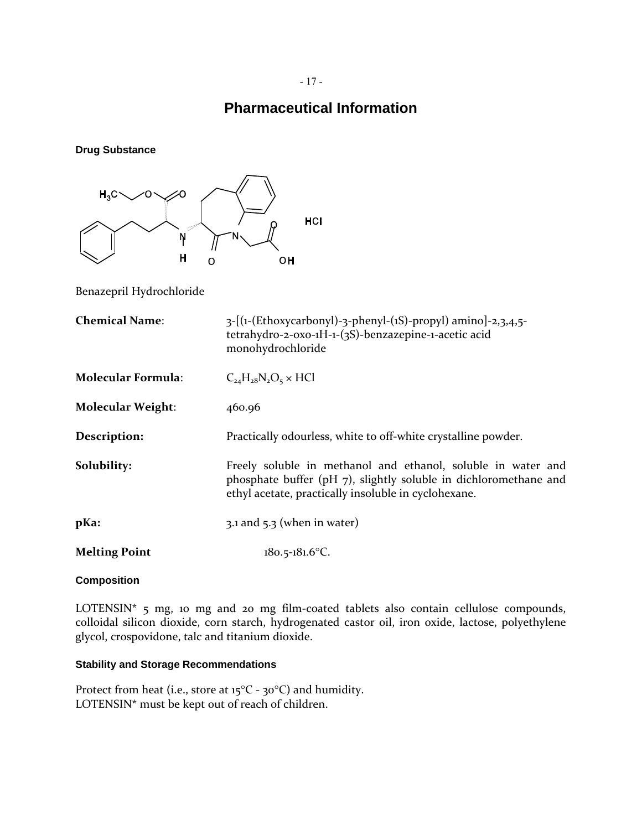### - 17 -

## **Pharmaceutical Information**

**Drug Substance** 



Benazepril Hydrochloride

| <b>Chemical Name:</b>     | $3-[(1-(Ethoxycarbonyl)-3-phenyl-(1S)-propyl)]$ amino]-2,3,4,5-<br>tetrahydro-2-oxo-1H-1-(3S)-benzazepine-1-acetic acid<br>monohydrochloride                                                 |
|---------------------------|----------------------------------------------------------------------------------------------------------------------------------------------------------------------------------------------|
| <b>Molecular Formula:</b> | $C_{24}H_{28}N_2O_5 \times HCl$                                                                                                                                                              |
| <b>Molecular Weight:</b>  | 460.96                                                                                                                                                                                       |
| Description:              | Practically odourless, white to off-white crystalline powder.                                                                                                                                |
| Solubility:               | Freely soluble in methanol and ethanol, soluble in water and<br>phosphate buffer ( $pH_7$ ), slightly soluble in dichloromethane and<br>ethyl acetate, practically insoluble in cyclohexane. |
| $p$ Ka:                   | $3.1$ and $5.3$ (when in water)                                                                                                                                                              |
| <b>Melting Point</b>      | $180.5 - 181.6$ °C.                                                                                                                                                                          |

### **Composition**

LOTENSIN<sup>\*</sup> 5 mg, 10 mg and 20 mg film-coated tablets also contain cellulose compounds, colloidal silicon dioxide, corn starch, hydrogenated castor oil, iron oxide, lactose, polyethylene glycol, crospovidone, talc and titanium dioxide.

### **Stability and Storage Recommendations**

Protect from heat (i.e., store at 15°C - 30°C) and humidity. LOTENSIN\* must be kept out of reach of children.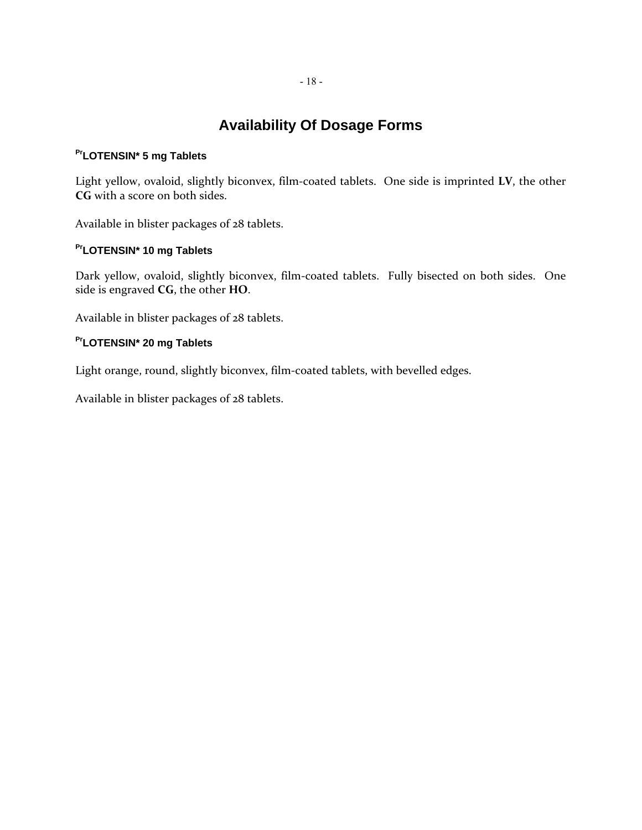## **Availability Of Dosage Forms**

### **PrLOTENSIN\* 5 mg Tablets**

Light yellow, ovaloid, slightly biconvex, film‐coated tablets. One side is imprinted **LV**, the other **CG** with a score on both sides.

Available in blister packages of 28 tablets.

## **PrLOTENSIN\* 10 mg Tablets**

Dark yellow, ovaloid, slightly biconvex, film-coated tablets. Fully bisected on both sides. One side is engraved **CG**, the other **HO**.

Available in blister packages of 28 tablets.

## **PrLOTENSIN\* 20 mg Tablets**

Light orange, round, slightly biconvex, film-coated tablets, with bevelled edges.

Available in blister packages of 28 tablets.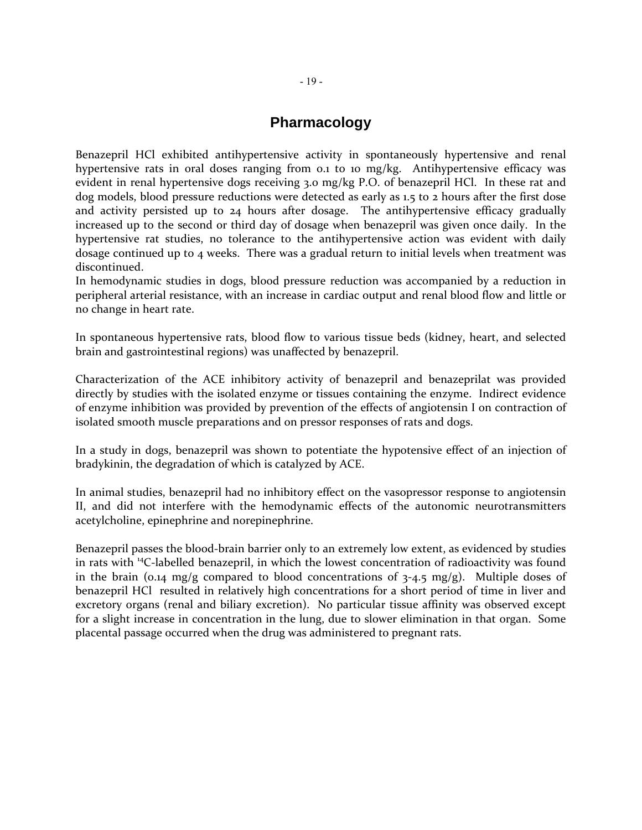## **Pharmacology**

Benazepril HCl exhibited antihypertensive activity in spontaneously hypertensive and renal hypertensive rats in oral doses ranging from 0.1 to 10 mg/kg. Antihypertensive efficacy was evident in renal hypertensive dogs receiving 3.0 mg/kg P.O. of benazepril HCl. In these rat and dog models, blood pressure reductions were detected as early as 1.5 to 2 hours after the first dose and activity persisted up to 24 hours after dosage. The antihypertensive efficacy gradually increased up to the second or third day of dosage when benazepril was given once daily. In the hypertensive rat studies, no tolerance to the antihypertensive action was evident with daily dosage continued up to 4 weeks. There was a gradual return to initial levels when treatment was discontinued.

In hemodynamic studies in dogs, blood pressure reduction was accompanied by a reduction in peripheral arterial resistance, with an increase in cardiac output and renal blood flow and little or no change in heart rate.

In spontaneous hypertensive rats, blood flow to various tissue beds (kidney, heart, and selected brain and gastrointestinal regions) was unaffected by benazepril.

Characterization of the ACE inhibitory activity of benazepril and benazeprilat was provided directly by studies with the isolated enzyme or tissues containing the enzyme. Indirect evidence of enzyme inhibition was provided by prevention of the effects of angiotensin I on contraction of isolated smooth muscle preparations and on pressor responses of rats and dogs.

In a study in dogs, benazepril was shown to potentiate the hypotensive effect of an injection of bradykinin, the degradation of which is catalyzed by ACE.

In animal studies, benazepril had no inhibitory effect on the vasopressor response to angiotensin II, and did not interfere with the hemodynamic effects of the autonomic neurotransmitters acetylcholine, epinephrine and norepinephrine.

Benazepril passes the blood‐brain barrier only to an extremely low extent, as evidenced by studies in rats with <sup>14</sup>C-labelled benazepril, in which the lowest concentration of radioactivity was found in the brain (0.14 mg/g compared to blood concentrations of  $3-4.5$  mg/g). Multiple doses of benazepril HCl resulted in relatively high concentrations for a short period of time in liver and excretory organs (renal and biliary excretion). No particular tissue affinity was observed except for a slight increase in concentration in the lung, due to slower elimination in that organ. Some placental passage occurred when the drug was administered to pregnant rats.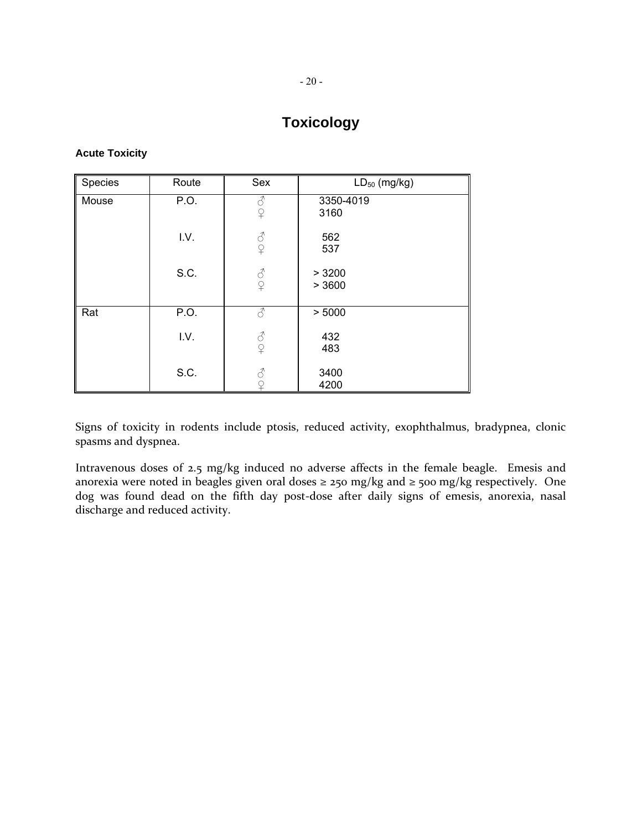## **Toxicology**

### **Acute Toxicity**

| Species | Route | Sex                                                       | $LD_{50}$ (mg/kg) |  |
|---------|-------|-----------------------------------------------------------|-------------------|--|
| Mouse   | P.O.  | 8<br>$\Omega$                                             | 3350-4019<br>3160 |  |
|         | I.V.  | 8<br>$\Omega$                                             | 562<br>537        |  |
|         | S.C.  | $\vec{\mathcal{S}}$<br>$\overline{P}$                     | > 3200<br>> 3600  |  |
| Rat     | P.O.  | ♂                                                         | > 5000            |  |
|         | I.V.  | $\mathcal{S}% _{CS}^{(n)}(\mathcal{S})$<br>$\overline{P}$ | 432<br>483        |  |
|         | S.C.  |                                                           | 3400<br>4200      |  |

Signs of toxicity in rodents include ptosis, reduced activity, exophthalmus, bradypnea, clonic spasms and dyspnea.

Intravenous doses of 2.5 mg/kg induced no adverse affects in the female beagle. Emesis and anorexia were noted in beagles given oral doses  $\geq$  250 mg/kg and  $\geq$  500 mg/kg respectively. One dog was found dead on the fifth day post-dose after daily signs of emesis, anorexia, nasal discharge and reduced activity.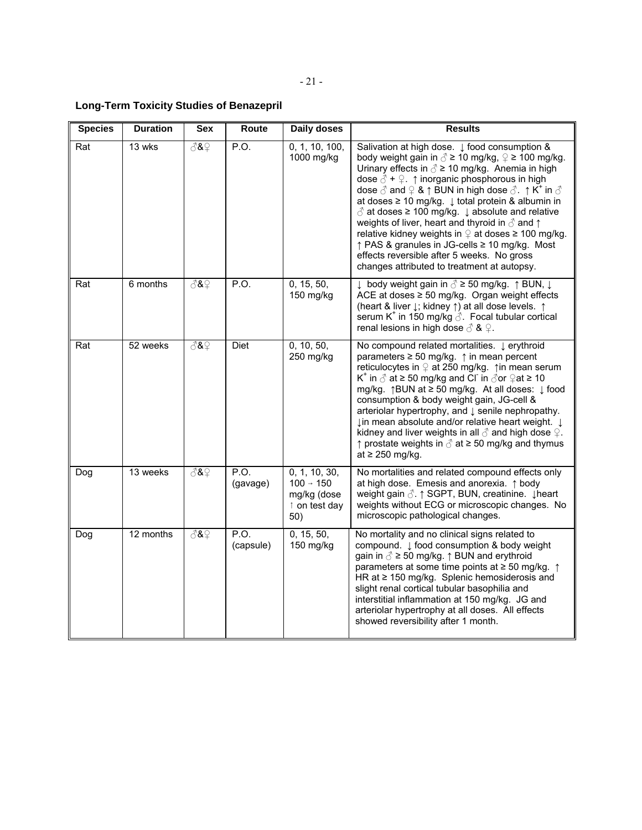## **Long-Term Toxicity Studies of Benazepril**

| <b>Species</b> | <b>Duration</b> | <b>Sex</b>    | Route             | <b>Daily doses</b>                                                            | <b>Results</b>                                                                                                                                                                                                                                                                                                                                                                                                                                                                                                                                                                                                                                                                                                                                                                                              |
|----------------|-----------------|---------------|-------------------|-------------------------------------------------------------------------------|-------------------------------------------------------------------------------------------------------------------------------------------------------------------------------------------------------------------------------------------------------------------------------------------------------------------------------------------------------------------------------------------------------------------------------------------------------------------------------------------------------------------------------------------------------------------------------------------------------------------------------------------------------------------------------------------------------------------------------------------------------------------------------------------------------------|
| Rat            | 13 wks          | $\sqrt[3]{8}$ | P.O.              | 0, 1, 10, 100,<br>1000 mg/kg                                                  | Salivation at high dose. $\downarrow$ food consumption &<br>body weight gain in $\delta$ ≥ 10 mg/kg, $\mathcal{Q}$ ≥ 100 mg/kg.<br>Urinary effects in $\delta$ ≥ 10 mg/kg. Anemia in high<br>dose $\beta$ + $\sqrt{2}$ . $\uparrow$ inorganic phosphorous in high<br>dose $\delta$ and $\Omega$ & $\uparrow$ BUN in high dose $\delta$ . $\uparrow$ K <sup>+</sup> in $\delta$<br>at doses $\geq 10$ mg/kg. $\downarrow$ total protein & albumin in<br>$\delta$ at doses $\geq 100$ mg/kg. $\downarrow$ absolute and relative<br>weights of liver, heart and thyroid in $\delta$ and $\uparrow$<br>relative kidney weights in $\varphi$ at doses ≥ 100 mg/kg.<br>↑ PAS & granules in JG-cells ≥ 10 mg/kg. Most<br>effects reversible after 5 weeks. No gross<br>changes attributed to treatment at autopsy. |
| Rat            | 6 months        | 8& ∂          | P.O.              | 0, 15, 50,<br>150 mg/kg                                                       | ↓ body weight gain in $\delta$ ≥ 50 mg/kg. ↑ BUN, $\downarrow$<br>ACE at doses ≥ 50 mg/kg. Organ weight effects<br>(heart & liver ↓; kidney ↑) at all dose levels. ↑<br>serum K <sup>+</sup> in 150 mg/kg $\Diamond$ . Focal tubular cortical<br>renal lesions in high dose $\delta$ & $\Omega$ .                                                                                                                                                                                                                                                                                                                                                                                                                                                                                                           |
| Rat            | 52 weeks        | $\sqrt{8}$    | Diet              | 0, 10, 50,<br>250 mg/kg                                                       | No compound related mortalities. Lerythroid<br>parameters $\geq 50$ mg/kg. $\uparrow$ in mean percent<br>reticulocytes in $\mathcal Q$ at 250 mg/kg. $\uparrow$ in mean serum<br>K <sup>+</sup> in $\delta$ at ≥ 50 mg/kg and Cl <sup>-</sup> in $\delta$ or $\Omega$ at ≥ 10<br>mg/kg. ↑BUN at ≥ 50 mg/kg. At all doses: ↓ food<br>consumption & body weight gain, JG-cell &<br>arteriolar hypertrophy, and $\downarrow$ senile nephropathy.<br>↓in mean absolute and/or relative heart weight. ↓<br>kidney and liver weights in all $\delta$ and high dose $\mathcal{Q}$ .<br>$\uparrow$ prostate weights in $\triangle$ at $\geq$ 50 mg/kg and thymus<br>at $\geq$ 250 mg/kg.                                                                                                                            |
| Dog            | 13 weeks        | 8& ∂          | P.O.<br>(gavage)  | 0, 1, 10, 30,<br>$100 \rightarrow 150$<br>mg/kg (dose<br>↑ on test day<br>50) | No mortalities and related compound effects only<br>at high dose. Emesis and anorexia. $\uparrow$ body<br>weight gain 3. ↑ SGPT, BUN, creatinine. ↓ heart<br>weights without ECG or microscopic changes. No<br>microscopic pathological changes.                                                                                                                                                                                                                                                                                                                                                                                                                                                                                                                                                            |
| Dog            | 12 months       | 8& ∂          | P.O.<br>(capsule) | 0, 15, 50,<br>150 mg/kg                                                       | No mortality and no clinical signs related to<br>compound. J food consumption & body weight<br>gain in $\delta \geq 50$ mg/kg. $\uparrow$ BUN and erythroid<br>parameters at some time points at $\geq$ 50 mg/kg. $\uparrow$<br>HR at $\geq$ 150 mg/kg. Splenic hemosiderosis and<br>slight renal cortical tubular basophilia and<br>interstitial inflammation at 150 mg/kg. JG and<br>arteriolar hypertrophy at all doses. All effects<br>showed reversibility after 1 month.                                                                                                                                                                                                                                                                                                                              |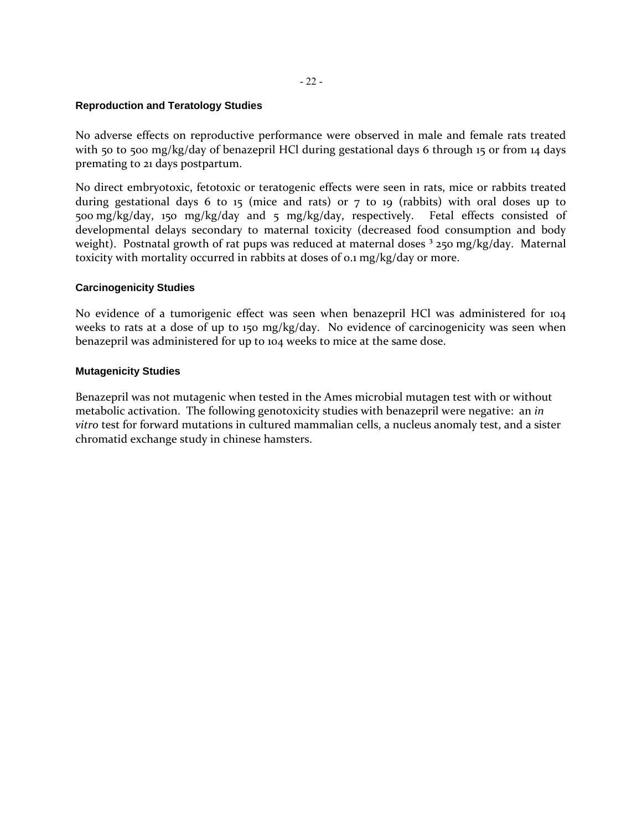### **Reproduction and Teratology Studies**

No adverse effects on reproductive performance were observed in male and female rats treated with 50 to 500 mg/kg/day of benazepril HCl during gestational days 6 through 15 or from 14 days premating to 21 days postpartum.

No direct embryotoxic, fetotoxic or teratogenic effects were seen in rats, mice or rabbits treated during gestational days 6 to 15 (mice and rats) or  $7$  to 19 (rabbits) with oral doses up to 500 mg/kg/day, 150 mg/kg/day and 5 mg/kg/day, respectively. Fetal effects consisted of developmental delays secondary to maternal toxicity (decreased food consumption and body weight). Postnatal growth of rat pups was reduced at maternal doses  $3250$  mg/kg/day. Maternal toxicity with mortality occurred in rabbits at doses of 0.1 mg/kg/day or more.

## **Carcinogenicity Studies**

No evidence of a tumorigenic effect was seen when benazepril HCl was administered for 104 weeks to rats at a dose of up to 150 mg/kg/day. No evidence of carcinogenicity was seen when benazepril was administered for up to 104 weeks to mice at the same dose.

### **Mutagenicity Studies**

Benazepril was not mutagenic when tested in the Ames microbial mutagen test with or without metabolic activation. The following genotoxicity studies with benazepril were negative: an *in vitro* test for forward mutations in cultured mammalian cells, a nucleus anomaly test, and a sister chromatid exchange study in chinese hamsters.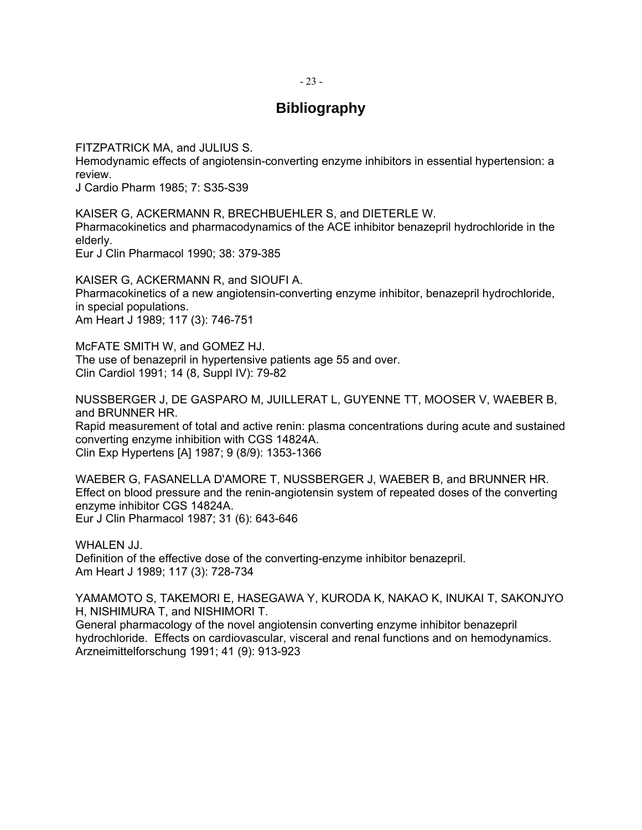### - 23 -

## **Bibliography**

FITZPATRICK MA, and JULIUS S.

Hemodynamic effects of angiotensin-converting enzyme inhibitors in essential hypertension: a review.

J Cardio Pharm 1985; 7: S35-S39

KAISER G, ACKERMANN R, BRECHBUEHLER S, and DIETERLE W. Pharmacokinetics and pharmacodynamics of the ACE inhibitor benazepril hydrochloride in the elderly. Eur J Clin Pharmacol 1990; 38: 379-385

KAISER G, ACKERMANN R, and SIOUFI A. Pharmacokinetics of a new angiotensin-converting enzyme inhibitor, benazepril hydrochloride, in special populations. Am Heart J 1989; 117 (3): 746-751

McFATE SMITH W, and GOMEZ HJ. The use of benazepril in hypertensive patients age 55 and over. Clin Cardiol 1991; 14 (8, Suppl IV): 79-82

NUSSBERGER J, DE GASPARO M, JUILLERAT L, GUYENNE TT, MOOSER V, WAEBER B, and BRUNNER HR. Rapid measurement of total and active renin: plasma concentrations during acute and sustained converting enzyme inhibition with CGS 14824A.

Clin Exp Hypertens [A] 1987; 9 (8/9): 1353-1366

WAEBER G, FASANELLA D'AMORE T, NUSSBERGER J, WAEBER B, and BRUNNER HR. Effect on blood pressure and the renin-angiotensin system of repeated doses of the converting enzyme inhibitor CGS 14824A. Eur J Clin Pharmacol 1987; 31 (6): 643-646

WHALEN JJ. Definition of the effective dose of the converting-enzyme inhibitor benazepril. Am Heart J 1989; 117 (3): 728-734

YAMAMOTO S, TAKEMORI E, HASEGAWA Y, KURODA K, NAKAO K, INUKAI T, SAKONJYO H, NISHIMURA T, and NISHIMORI T.

General pharmacology of the novel angiotensin converting enzyme inhibitor benazepril hydrochloride. Effects on cardiovascular, visceral and renal functions and on hemodynamics. Arzneimittelforschung 1991; 41 (9): 913-923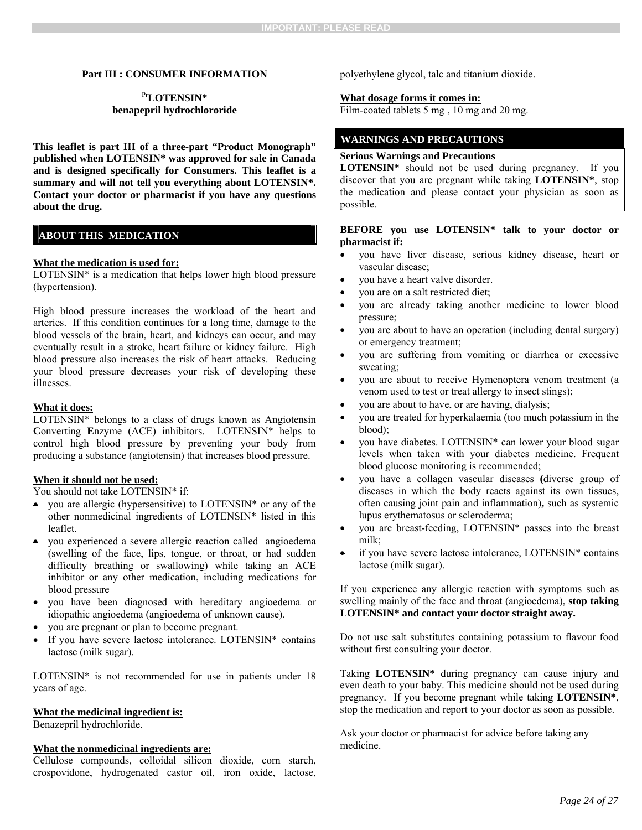#### **Part III : CONSUMER INFORMATION**

### Pr**LOTENSIN\* benapepril hydrochlororide**

**This leaflet is part III of a three-part "Product Monograph" published when LOTENSIN\* was approved for sale in Canada and is designed specifically for Consumers. This leaflet is a summary and will not tell you everything about LOTENSIN\*. Contact your doctor or pharmacist if you have any questions about the drug.** 

### **ABOUT THIS MEDICATION**

#### **What the medication is used for:**

LOTENSIN\* is a medication that helps lower high blood pressure (hypertension).

High blood pressure increases the workload of the heart and arteries. If this condition continues for a long time, damage to the blood vessels of the brain, heart, and kidneys can occur, and may eventually result in a stroke, heart failure or kidney failure. High blood pressure also increases the risk of heart attacks. Reducing your blood pressure decreases your risk of developing these illnesses.

#### **What it does:**

LOTENSIN\* belongs to a class of drugs known as Angiotensin **C**onverting **E**nzyme (ACE) inhibitors. LOTENSIN\* helps to control high blood pressure by preventing your body from producing a substance (angiotensin) that increases blood pressure.

#### **When it should not be used:**

You should not take LOTENSIN\* if:

- you are allergic (hypersensitive) to LOTENSIN\* or any of the other nonmedicinal ingredients of LOTENSIN\* listed in this leaflet.
- you experienced a severe allergic reaction called angioedema (swelling of the face, lips, tongue, or throat, or had sudden difficulty breathing or swallowing) while taking an ACE inhibitor or any other medication, including medications for blood pressure
- you have been diagnosed with hereditary angioedema or idiopathic angioedema (angioedema of unknown cause).
- you are pregnant or plan to become pregnant.
- If you have severe lactose intolerance. LOTENSIN\* contains lactose (milk sugar).

LOTENSIN\* is not recommended for use in patients under 18 years of age.

### **What the medicinal ingredient is:**

Benazepril hydrochloride.

#### **What the nonmedicinal ingredients are:**

Cellulose compounds, colloidal silicon dioxide, corn starch, crospovidone, hydrogenated castor oil, iron oxide, lactose, polyethylene glycol, talc and titanium dioxide.

#### **What dosage forms it comes in:**

Film-coated tablets 5 mg, 10 mg and 20 mg.

### **WARNINGS AND PRECAUTIONS**

#### **Serious Warnings and Precautions**

**LOTENSIN\*** should not be used during pregnancy. If you discover that you are pregnant while taking **LOTENSIN\***, stop the medication and please contact your physician as soon as possible.

#### **BEFORE you use LOTENSIN\* talk to your doctor or pharmacist if:**

- you have liver disease, serious kidney disease, heart or vascular disease;
- you have a heart valve disorder.
- you are on a salt restricted diet;
- you are already taking another medicine to lower blood pressure;
- you are about to have an operation (including dental surgery) or emergency treatment;
- you are suffering from vomiting or diarrhea or excessive sweating;
- you are about to receive Hymenoptera venom treatment (a venom used to test or treat allergy to insect stings);
- you are about to have, or are having, dialysis;
- you are treated for hyperkalaemia (too much potassium in the blood);
- you have diabetes. LOTENSIN\* can lower your blood sugar levels when taken with your diabetes medicine. Frequent blood glucose monitoring is recommended;
- you have a collagen vascular diseases **(**diverse group of diseases in which the body reacts against its own tissues, often causing joint pain and inflammation)**,** such as systemic lupus erythematosus or scleroderma;
- you are breast-feeding, LOTENSIN\* passes into the breast milk;
- if you have severe lactose intolerance, LOTENSIN\* contains lactose (milk sugar).

If you experience any allergic reaction with symptoms such as swelling mainly of the face and throat (angioedema), **stop taking LOTENSIN\* and contact your doctor straight away.** 

Do not use salt substitutes containing potassium to flavour food without first consulting your doctor.

Taking **LOTENSIN\*** during pregnancy can cause injury and even death to your baby. This medicine should not be used during pregnancy. If you become pregnant while taking **LOTENSIN\***, stop the medication and report to your doctor as soon as possible.

Ask your doctor or pharmacist for advice before taking any medicine.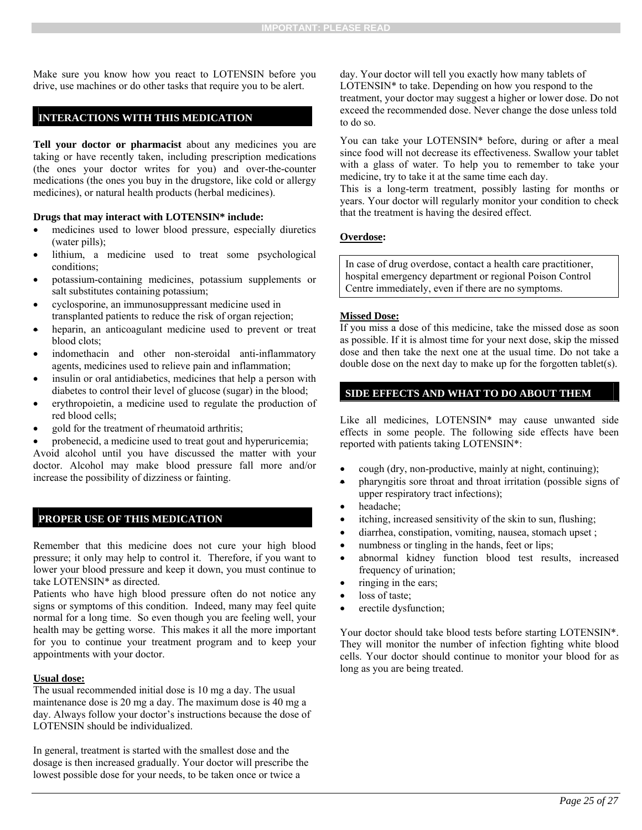Make sure you know how you react to LOTENSIN before you drive, use machines or do other tasks that require you to be alert.

### **INTERACTIONS WITH THIS MEDICATION**

**Tell your doctor or pharmacist** about any medicines you are taking or have recently taken, including prescription medications (the ones your doctor writes for you) and over-the-counter medications (the ones you buy in the drugstore, like cold or allergy medicines), or natural health products (herbal medicines).

### **Drugs that may interact with LOTENSIN\* include:**

- medicines used to lower blood pressure, especially diuretics (water pills);
- lithium, a medicine used to treat some psychological conditions;
- potassium-containing medicines, potassium supplements or salt substitutes containing potassium;
- cyclosporine, an immunosuppressant medicine used in transplanted patients to reduce the risk of organ rejection;
- heparin, an anticoagulant medicine used to prevent or treat blood clots;
- indomethacin and other non-steroidal anti-inflammatory agents, medicines used to relieve pain and inflammation;
- insulin or oral antidiabetics, medicines that help a person with diabetes to control their level of glucose (sugar) in the blood;
- erythropoietin, a medicine used to regulate the production of red blood cells;
- gold for the treatment of rheumatoid arthritis;

 probenecid, a medicine used to treat gout and hyperuricemia; Avoid alcohol until you have discussed the matter with your doctor. Alcohol may make blood pressure fall more and/or increase the possibility of dizziness or fainting.

### **PROPER USE OF THIS MEDICATION**

Remember that this medicine does not cure your high blood pressure; it only may help to control it. Therefore, if you want to lower your blood pressure and keep it down, you must continue to take LOTENSIN\* as directed.

Patients who have high blood pressure often do not notice any signs or symptoms of this condition. Indeed, many may feel quite normal for a long time. So even though you are feeling well, your health may be getting worse. This makes it all the more important for you to continue your treatment program and to keep your appointments with your doctor.

### **Usual dose:**

The usual recommended initial dose is 10 mg a day. The usual maintenance dose is 20 mg a day. The maximum dose is 40 mg a day. Always follow your doctor's instructions because the dose of LOTENSIN should be individualized.

In general, treatment is started with the smallest dose and the dosage is then increased gradually. Your doctor will prescribe the lowest possible dose for your needs, to be taken once or twice a

day. Your doctor will tell you exactly how many tablets of LOTENSIN\* to take. Depending on how you respond to the treatment, your doctor may suggest a higher or lower dose. Do not exceed the recommended dose. Never change the dose unless told to do so.

You can take your LOTENSIN\* before, during or after a meal since food will not decrease its effectiveness. Swallow your tablet with a glass of water. To help you to remember to take your medicine, try to take it at the same time each day.

This is a long-term treatment, possibly lasting for months or years. Your doctor will regularly monitor your condition to check that the treatment is having the desired effect.

### **Overdose:**

In case of drug overdose, contact a health care practitioner, hospital emergency department or regional Poison Control Centre immediately, even if there are no symptoms.

### **Missed Dose:**

If you miss a dose of this medicine, take the missed dose as soon as possible. If it is almost time for your next dose, skip the missed dose and then take the next one at the usual time. Do not take a double dose on the next day to make up for the forgotten tablet(s).

### **SIDE EFFECTS AND WHAT TO DO ABOUT THEM**

Like all medicines, LOTENSIN\* may cause unwanted side effects in some people. The following side effects have been reported with patients taking LOTENSIN\*:

- cough (dry, non-productive, mainly at night, continuing);
- pharyngitis sore throat and throat irritation (possible signs of upper respiratory tract infections);
- headache:
- itching, increased sensitivity of the skin to sun, flushing;
- diarrhea, constipation, vomiting, nausea, stomach upset ;
- numbness or tingling in the hands, feet or lips;
- abnormal kidney function blood test results, increased frequency of urination;
- ringing in the ears;
- loss of taste;
- erectile dysfunction;

Your doctor should take blood tests before starting LOTENSIN\*. They will monitor the number of infection fighting white blood cells. Your doctor should continue to monitor your blood for as long as you are being treated.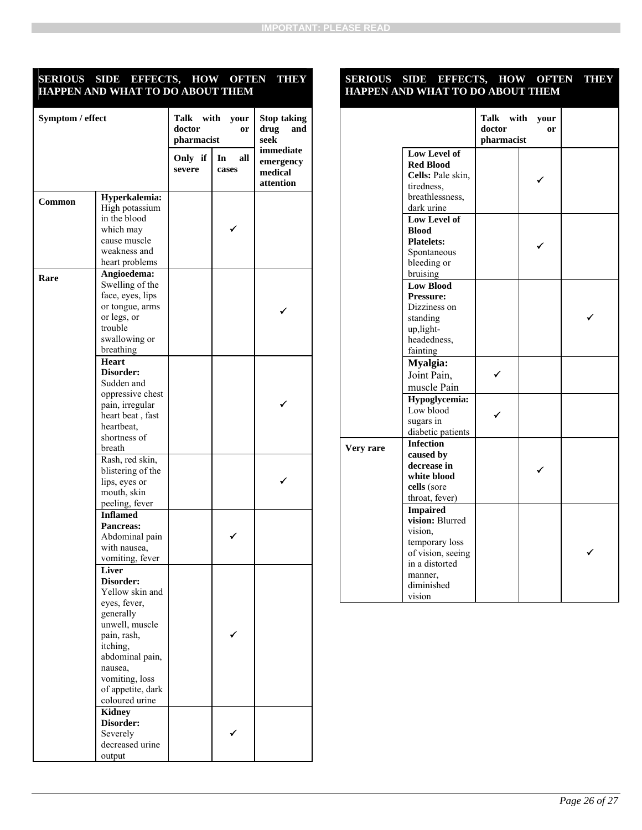### **SERIOUS SIDE EFFECTS, HOW OFTEN THEY HAPPEN AND WHAT TO DO ABOUT THEM**

| Symptom / effect |                                                                                                                                                                                                        | Talk<br>with<br>your<br>doctor<br>or<br>pharmacist |                    | <b>Stop taking</b><br>drug<br>and<br>seek      |
|------------------|--------------------------------------------------------------------------------------------------------------------------------------------------------------------------------------------------------|----------------------------------------------------|--------------------|------------------------------------------------|
|                  |                                                                                                                                                                                                        | Only if<br>severe                                  | In<br>all<br>cases | immediate<br>emergency<br>medical<br>attention |
| Common           | Hyperkalemia:<br>High potassium<br>in the blood<br>which may<br>cause muscle<br>weakness and<br>heart problems                                                                                         |                                                    |                    |                                                |
| Rare             | Angioedema:<br>Swelling of the<br>face, eyes, lips<br>or tongue, arms<br>or legs, or<br>trouble<br>swallowing or<br>breathing                                                                          |                                                    |                    |                                                |
|                  | <b>Heart</b><br>Disorder:<br>Sudden and<br>oppressive chest<br>pain, irregular<br>heart beat, fast<br>heartbeat,<br>shortness of<br>breath                                                             |                                                    |                    |                                                |
|                  | Rash, red skin,<br>blistering of the<br>lips, eyes or<br>mouth, skin<br>peeling, fever                                                                                                                 |                                                    |                    |                                                |
|                  | <b>Inflamed</b><br><b>Pancreas:</b><br>Abdominal pain<br>with nausea,<br>vomiting, fever                                                                                                               |                                                    |                    |                                                |
|                  | Liver<br>Disorder:<br>Yellow skin and<br>eyes, fever,<br>generally<br>unwell, muscle<br>pain, rash,<br>itching,<br>abdominal pain,<br>nausea,<br>vomiting, loss<br>of appetite, dark<br>coloured urine |                                                    |                    |                                                |
|                  | <b>Kidney</b><br>Disorder:<br>Severely<br>decreased urine<br>output                                                                                                                                    |                                                    |                    |                                                |

### **SERIOUS SIDE EFFECTS, HOW OFTEN THEY HAPPEN AND WHAT TO DO ABOUT THEM**

|           |                                                                                                                                           | Talk with<br>your<br>doctor<br>or<br>pharmacist |  |  |
|-----------|-------------------------------------------------------------------------------------------------------------------------------------------|-------------------------------------------------|--|--|
|           | Low Level of<br><b>Red Blood</b><br>Cells: Pale skin,<br>tiredness,<br>breathlessness,<br>dark urine                                      |                                                 |  |  |
|           | Low Level of<br><b>Blood</b><br><b>Platelets:</b><br>Spontaneous<br>bleeding or<br>bruising                                               |                                                 |  |  |
|           | <b>Low Blood</b><br><b>Pressure:</b><br>Dizziness on<br>standing<br>up, light-<br>headedness,<br>fainting                                 |                                                 |  |  |
|           | Myalgia:<br>Joint Pain,<br>muscle Pain                                                                                                    |                                                 |  |  |
|           | Hypoglycemia:<br>Low blood<br>sugars in<br>diabetic patients                                                                              |                                                 |  |  |
| Very rare | <b>Infection</b><br>caused by<br>decrease in<br>white blood<br>cells (sore<br>throat, fever)                                              |                                                 |  |  |
|           | <b>Impaired</b><br>vision: Blurred<br>vision,<br>temporary loss<br>of vision, seeing<br>in a distorted<br>manner.<br>diminished<br>vision |                                                 |  |  |